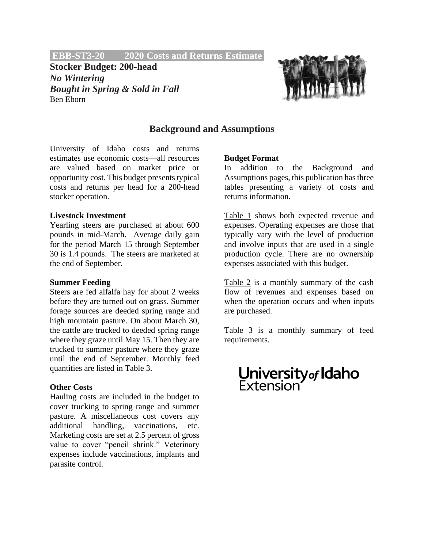**EBB-ST3-20 2020 Costs and Returns Estimate.**

**Stocker Budget: 200-head** *No Wintering Bought in Spring & Sold in Fall* Ben Eborn



# **Background and Assumptions**

University of Idaho costs and returns estimates use economic costs—all resources are valued based on market price or opportunity cost. This budget presents typical costs and returns per head for a 200-head stocker operation.

#### **Livestock Investment**

Yearling steers are purchased at about 600 pounds in mid-March. Average daily gain for the period March 15 through September 30 is 1.4 pounds. The steers are marketed at the end of September.

#### **Summer Feeding**

Steers are fed alfalfa hay for about 2 weeks before they are turned out on grass. Summer forage sources are deeded spring range and high mountain pasture. On about March 30, the cattle are trucked to deeded spring range where they graze until May 15. Then they are trucked to summer pasture where they graze until the end of September. Monthly feed quantities are listed in Table 3.

## **Other Costs**

Hauling costs are included in the budget to cover trucking to spring range and summer pasture. A miscellaneous cost covers any additional handling, vaccinations, etc. Marketing costs are set at 2.5 percent of gross value to cover "pencil shrink." Veterinary expenses include vaccinations, implants and parasite control.

## **Budget Format**

In addition to the Background and Assumptions pages, this publication has three tables presenting a variety of costs and returns information.

Table 1 shows both expected revenue and expenses. Operating expenses are those that typically vary with the level of production and involve inputs that are used in a single production cycle. There are no ownership expenses associated with this budget.

Table 2 is a monthly summary of the cash flow of revenues and expenses based on when the operation occurs and when inputs are purchased.

Table 3 is a monthly summary of feed requirements.

# **University<sub>of</sub> Idaho**<br>Extension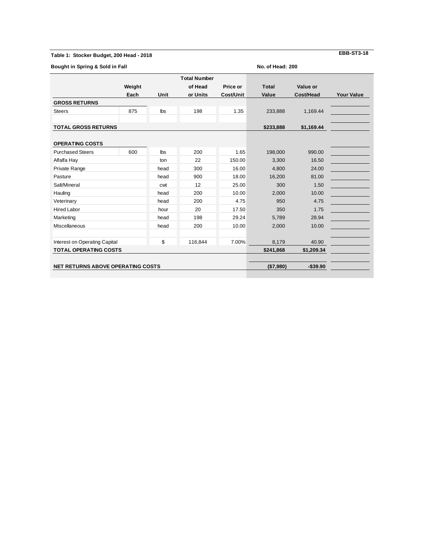#### **Table 1: Stocker Budget, 200 Head - 2018**

**EBB-ST3-18**

| Bought in Spring & Sold in Fall          |        |           |                     |           | No. of Head: 200 |             |                   |  |  |  |
|------------------------------------------|--------|-----------|---------------------|-----------|------------------|-------------|-------------------|--|--|--|
|                                          |        |           | <b>Total Number</b> |           |                  |             |                   |  |  |  |
|                                          | Weight |           | of Head             | Price or  | <b>Total</b>     | Value or    |                   |  |  |  |
|                                          | Each   | Unit      | or Units            | Cost/Unit | Value            | Cost/Head   | <b>Your Value</b> |  |  |  |
| <b>GROSS RETURNS</b>                     |        |           |                     |           |                  |             |                   |  |  |  |
| <b>Steers</b>                            | 875    | lbs       | 198                 | 1.35      | 233,888          | 1,169.44    |                   |  |  |  |
| <b>TOTAL GROSS RETURNS</b>               |        |           |                     |           | \$233,888        | \$1,169.44  |                   |  |  |  |
|                                          |        |           |                     |           |                  |             |                   |  |  |  |
| <b>OPERATING COSTS</b>                   |        |           |                     |           |                  |             |                   |  |  |  |
| <b>Purchased Steers</b>                  | 600    | lbs       | 200                 | 1.65      | 198,000          | 990.00      |                   |  |  |  |
| Alfalfa Hay                              |        | ton       | 22                  | 150.00    | 3,300            | 16.50       |                   |  |  |  |
| Private Range                            |        | head      | 300                 | 16.00     | 4,800            | 24.00       |                   |  |  |  |
| Pasture                                  |        | head      | 900                 | 18.00     | 16,200           | 81.00       |                   |  |  |  |
| Salt/Mineral                             |        | cwt       | 12                  | 25.00     | 300<br>1.50      |             |                   |  |  |  |
| Hauling                                  |        | head      | 200                 | 10.00     | 2,000            | 10.00       |                   |  |  |  |
| Veterinary                               |        | head      | 200                 | 4.75      | 950              | 4.75        |                   |  |  |  |
| <b>Hired Labor</b>                       |        | hour      | 20                  | 17.50     | 350<br>1.75      |             |                   |  |  |  |
| Marketing                                |        | head      | 198                 | 29.24     | 5,789            | 28.94       |                   |  |  |  |
| <b>Miscellaneous</b>                     |        | head      | 200                 | 10.00     | 2,000            | 10.00       |                   |  |  |  |
| Interest on Operating Capital            |        | \$        | 116,844             | 7.00%     | 8,179            | 40.90       |                   |  |  |  |
| <b>TOTAL OPERATING COSTS</b>             |        | \$241,868 | \$1,209.34          |           |                  |             |                   |  |  |  |
| <b>NET RETURNS ABOVE OPERATING COSTS</b> |        |           |                     |           | (\$7,980)        | $-$ \$39.90 |                   |  |  |  |
|                                          |        |           |                     |           |                  |             |                   |  |  |  |